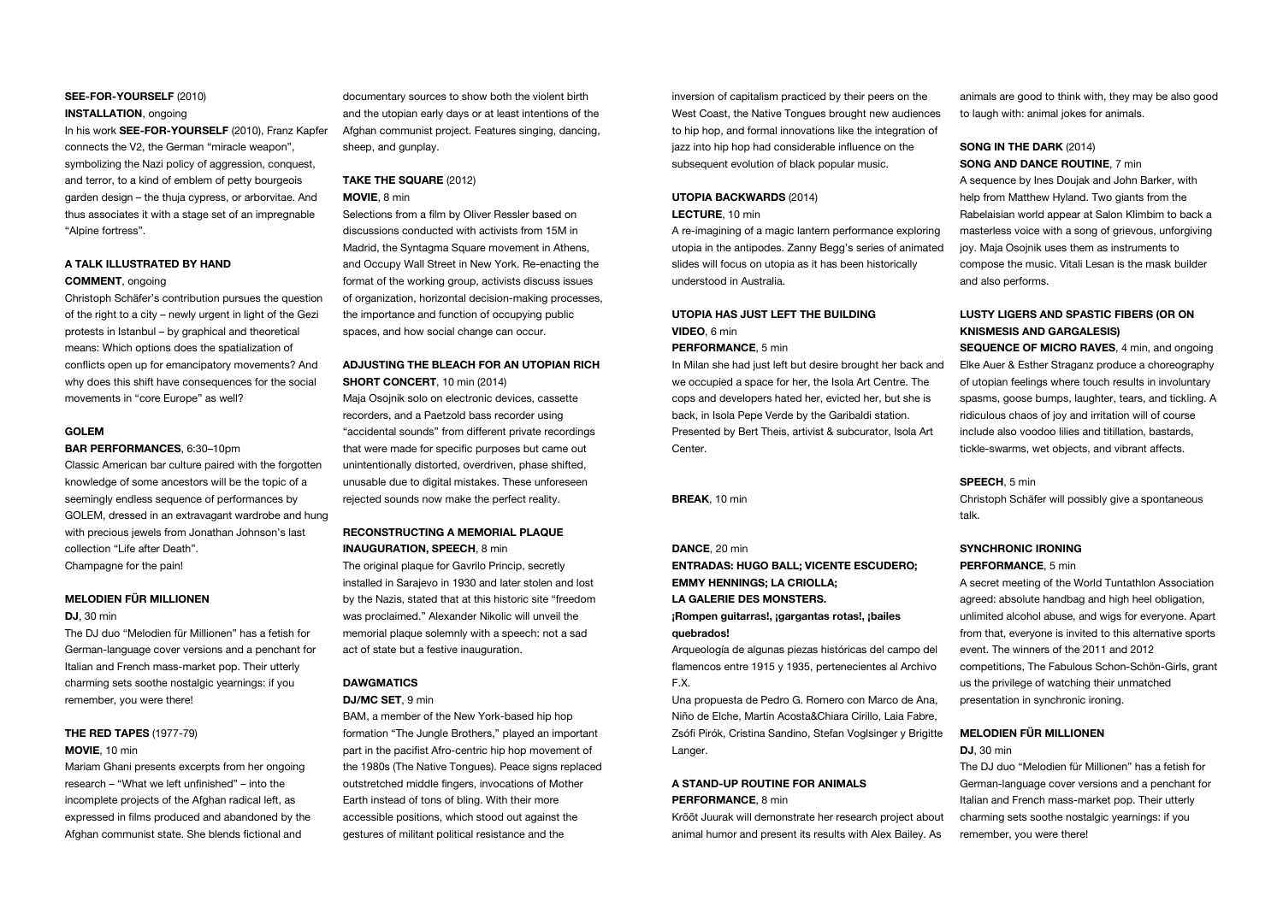#### SEE-FOR-YOURSELF (2010)

#### INSTALLATION, ongoing

In his work SEE-FOR-YOURSELF (2010), Franz Kapfer connects the V2, the German "miracle weapon", symbolizing the Nazi policy of aggression, conquest, and terror, to a kind of emblem of petty bourgeois garden design – the thuja cypress, or arborvitae. And thus associates it with a stage set of an impregnable "Alpine fortress".

#### A TALK ILLUSTRATED BY HAND COMMENT, ongoing

Christoph Schäfer's contribution pursues the question of the right to a city – newly urgent in light of the Gezi protests in Istanbul – by graphical and theoretical means: Which options does the spatialization of conflicts open up for emancipatory movements? And why does this shift have consequences for the social movements in "core Europe" as well?

#### GOLEM

#### BAR PERFORMANCES, 6:30-10pm

Classic American bar culture paired with the forgotten knowledge of some ancestors will be the topic of a seemingly endless sequence of performances by GOLEM, dressed in an extravagant wardrobe and hung with precious jewels from Jonathan Johnson's last collection "Life after Death". Champagne for the pain!

MELODIEN FÜR MILLIONEN

#### DJ, 30 min

The DJ duo "Melodien für Millionen" has a fetish for German-language cover versions and a penchant for Italian and French mass-market pop. Their utterly charming sets soothe nostalgic yearnings: if you remember, you were there!

#### THE RED TAPES (1977-79) MOVIE, 10 min

Mariam Ghani presents excerpts from her ongoing research – "What we left unfinished" – into the incomplete projects of the Afghan radical left, as expressed in films produced and abandoned by the Afghan communist state. She blends fictional and

documentary sources to show both the violent birth and the utopian early days or at least intentions of the Afghan communist project. Features singing, dancing, sheep, and gunplay.

#### TAKE THE SQUARE (2012) MOVIE, 8 min

Selections from a film by Oliver Ressler based on discussions conducted with activists from 15M in Madrid, the Syntagma Square movement in Athens and Occupy Wall Street in New York. Re-enacting the format of the working group, activists discuss issues of organization, horizontal decision-making processes, the importance and function of occupying public spaces, and how social change can occur.

#### ADJUSTING THE BLEACH FOR AN UTOPIAN RICH

SHORT CONCERT, 10 min (2014) Maja Osojnik solo on electronic devices, cassette recorders, and a Paetzold bass recorder using "accidental sounds" from different private recordings that were made for specific purposes but came out unintentionally distorted, overdriven, phase shifted, unusable due to digital mistakes. These unforeseen rejected sounds now make the perfect reality.

#### RECONSTRUCTING A MEMORIAL PLAQUE INAUGURATION, SPEECH, 8 min

The original plaque for Gavrilo Princip, secretly installed in Sarajevo in 1930 and later stolen and lost by the Nazis, stated that at this historic site "freedom was proclaimed." Alexander Nikolic will unveil the memorial plaque solemnly with a speech: not a sad act of state but a festive inauguration.

#### DAWGMATICS DJ/MC SET, 9 min

BAM, a member of the New York-based hip hop formation "The Jungle Brothers," played an important part in the pacifist Afro-centric hip hop movement of the 1980s (The Native Tongues). Peace signs replaced outstretched middle fingers, invocations of Mother Earth instead of tons of bling. With their more accessible positions, which stood out against the gestures of militant political resistance and the

inversion of capitalism practiced by their peers on the West Coast, the Native Tongues brought new audiences to hip hop, and formal innovations like the integration of jazz into hip hop had considerable influence on the subsequent evolution of black popular music.

#### UTOPIA BACKWARDS (2014) LECTURE, 10 min

A re-imagining of a magic lantern performance exploring utopia in the antipodes. Zanny Begg's series of animated slides will focus on utopia as it has been historically understood in Australia.

#### UTOPIA HAS JUST LEFT THE BUILDING VIDEO, 6 min

PERFORMANCE, 5 min

In Milan she had just left but desire brought her back and we occupied a space for her, the Isola Art Centre. The cops and developers hated her, evicted her, but she is back, in Isola Pepe Verde by the Garibaldi station. Presented by Bert Theis, artivist & subcurator, Isola Art Center.

BREAK, 10 min

#### DANCE, 20 min

ENTRADAS: HUGO BALL; VICENTE ESCUDERO; EMMY HENNINGS; LA CRIOLLA; LA GALERIE DES MONSTERS. ¡Rompen guitarras!, ¡gargantas rotas!, ¡bailes quebrados!

Arqueología de algunas piezas históricas del campo del flamencos entre 1915 y 1935, pertenecientes al Archivo F.X.

Una propuesta de Pedro G. Romero con Marco de Ana, Niño de Elche, Martin Acosta&Chiara Cirillo, Laia Fabre, Zsófi Pirók, Cristina Sandino, Stefan Voglsinger y Brigitte Langer.

#### A STAND-UP ROUTINE FOR ANIMALS PERFORMANCE, 8 min

Krõõt Juurak will demonstrate her research project about animal humor and present its results with Alex Bailey. As animals are good to think with, they may be also good to laugh with: animal jokes for animals.

#### SONG IN THE DARK (2014) SONG AND DANCE ROUTINE, 7 min

A sequence by Ines Doujak and John Barker, with help from Matthew Hyland. Two giants from the Rabelaisian world appear at Salon Klimbim to back a masterless voice with a song of grievous, unforgiving joy. Maja Osojnik uses them as instruments to compose the music. Vitali Lesan is the mask builder and also performs.

#### LUSTY LIGERS AND SPASTIC FIBERS (OR ON KNISMESIS AND GARGALESIS)

SEQUENCE OF MICRO RAVES, 4 min, and ongoing Elke Auer & Esther Straganz produce a choreography of utopian feelings where touch results in involuntary spasms, goose bumps, laughter, tears, and tickling. A ridiculous chaos of joy and irritation will of course include also voodoo lilies and titillation, bastards, tickle-swarms, wet objects, and vibrant affects.

#### SPEECH, 5 min

Christoph Schäfer will possibly give a spontaneous talk.

#### SYNCHRONIC IRONING

#### PERFORMANCE, 5 min

A secret meeting of the World Tuntathlon Association agreed: absolute handbag and high heel obligation, unlimited alcohol abuse, and wigs for everyone. Apart from that, everyone is invited to this alternative sports event. The winners of the 2011 and 2012 competitions, The Fabulous Schon-Schön-Girls, grant us the privilege of watching their unmatched presentation in synchronic ironing.

#### MELODIEN FÜR MILLIONEN

#### DJ, 30 min

The DJ duo "Melodien für Millionen" has a fetish for German-language cover versions and a penchant for Italian and French mass-market pop. Their utterly charming sets soothe nostalgic yearnings: if you remember, you were there!